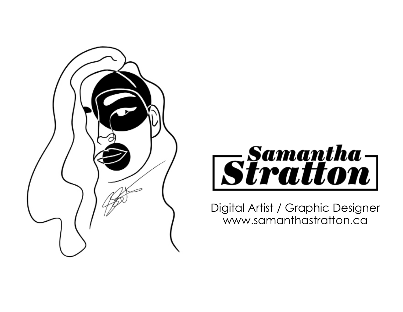



Digital Artist / Graphic Designer www.samanthastratton.ca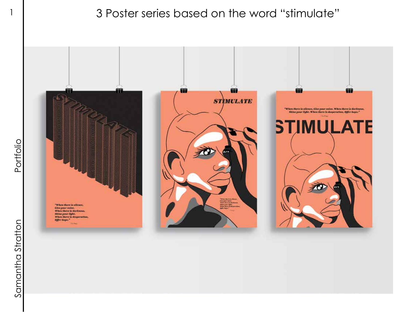### 1 3 Poster series based on the word "stimulate"

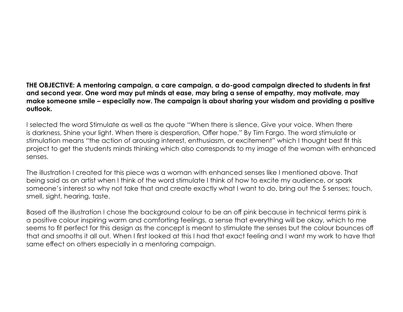**THE OBJECTIVE: A mentoring campaign, a care campaign, a do-good campaign directed to students in first and second year. One word may put minds at ease, may bring a sense of empathy, may motivate, may make someone smile – especially now. The campaign is about sharing your wisdom and providing a positive outlook.**

I selected the word Stimulate as well as the quote "When there is silence, Give your voice. When there is darkness, Shine your light. When there is desperation, Offer hope." By Tim Fargo. The word stimulate or stimulation means "the action of arousing interest, enthusiasm, or excitement" which I thought best fit this project to get the students minds thinking which also corresponds to my image of the woman with enhanced senses.

The illustration I created for this piece was a woman with enhanced senses like I mentioned above. That being said as an artist when I think of the word stimulate I think of how to excite my audience, or spark someone's interest so why not take that and create exactly what I want to do, bring out the 5 senses; touch, smell, sight, hearing, taste.

Based off the illustration I chose the background colour to be an off pink because in technical terms pink is a positive colour inspiring warm and comforting feelings, a sense that everything will be okay, which to me seems to fit perfect for this design as the concept is meant to stimulate the senses but the colour bounces off that and smooths it all out. When I first looked at this I had that exact feeling and I want my work to have that same effect on others especially in a mentoring campaign.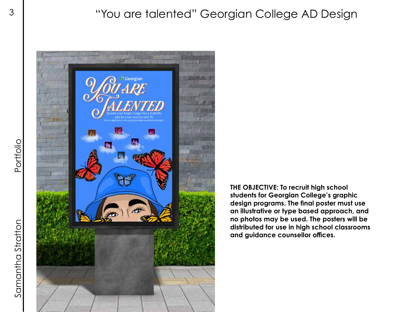<sup>3</sup> | "You are talented" Georgian College AD Design



**THE OBJECTIVE: To recruit high school students for Georgian College's graphic design programs. The final poster must use an illustrative or type based approach, and no photos may be used. The posters will be distributed for use in high school classrooms and guidance counsellor offices.**

Samantha Stratton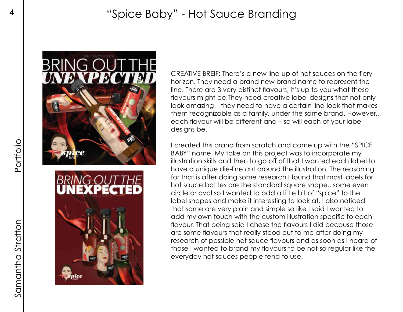# 4 "Spice Baby" - Hot Sauce Branding



CREATIVE BREIF: There's a new line-up of hot sauces on the fiery horizon. They need a brand new brand name to represent the line. There are 3 very distinct flavours, it's up to you what these flavours might be.They need creative label designs that not only look amazing – they need to have a certain line-look that makes them recognizable as a family, under the same brand. However... each flavour will be different and – so will each of your label designs be.

I created this brand from scratch and came up with the "SPICE BABY" name. My take on this project was to incorporate my illustration skills and then to go off of that I wanted each label to have a unique die-line cut around the illustration. The reasoning for that is after doing some research I found that most labels for hot sauce bottles are the standard square shape.. some even circle or oval so I wanted to add a little bit of "spice" to the label shapes and make it interesting to look at. I also noticed that some are very plain and simple so like I said I wanted to add my own touch with the custom illustration specific to each flavour. That being said I chose the flavours I did because those are some flavours that really stood out to me after doing my research of possible hot sauce flavours and as soon as I heard of those I wanted to brand my flavours to be not so regular like the everyday hot sauces people tend to use.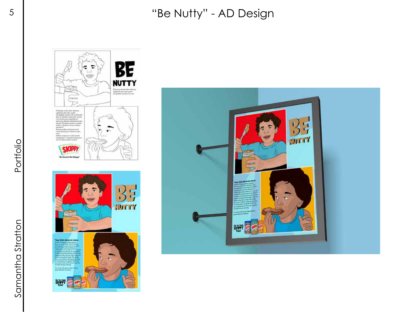## 5 | ''Be Nutty'' - AD Design





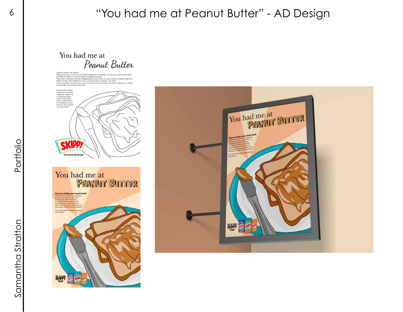### <sup>6</sup> | "You had me at Peanut Butter" - AD Design

#### You had me at Peanut Butter

**SKIPPY** 

You had me at PENNILL BILLER



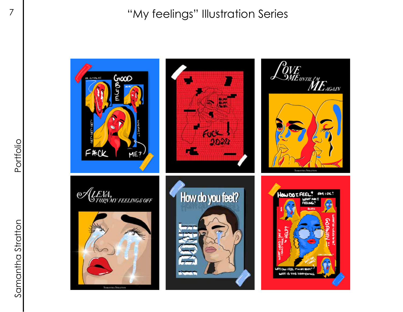"My feelings" Illustration Series

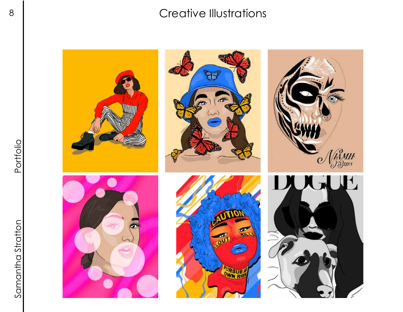